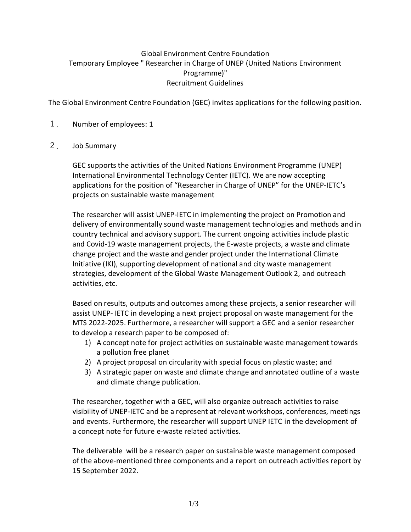## Global Environment Centre Foundation Temporary Employee " Researcher in Charge of UNEP (United Nations Environment Programme)" Recruitment Guidelines

The Global Environment Centre Foundation (GEC) invites applications for the following position.

- 1. Number of employees: 1
- 2. Job Summary

GEC supports the activities of the United Nations Environment Programme (UNEP) International Environmental Technology Center (IETC). We are now accepting applications for the position of "Researcher in Charge of UNEP" for the UNEP-IETC's projects on sustainable waste management

The researcher will assist UNEP-IETC in implementing the project on Promotion and delivery of environmentally sound waste management technologies and methods and in country technical and advisory support. The current ongoing activities include plastic and Covid-19 waste management projects, the E-waste projects, a waste and climate change project and the waste and gender project under the International Climate Initiative (IKI), supporting development of national and city waste management strategies, development of the Global Waste Management Outlook 2, and outreach activities, etc.

Based on results, outputs and outcomes among these projects, a senior researcher will assist UNEP- IETC in developing a next project proposal on waste management for the MTS 2022-2025. Furthermore, a researcher will support a GEC and a senior researcher to develop a research paper to be composed of:

- 1) A concept note for project activities on sustainable waste management towards a pollution free planet
- 2) A project proposal on circularity with special focus on plastic waste; and
- 3) A strategic paper on waste and climate change and annotated outline of a waste and climate change publication.

The researcher, together with a GEC, will also organize outreach activities to raise visibility of UNEP-IETC and be a represent at relevant workshops, conferences, meetings and events. Furthermore, the researcher will support UNEP IETC in the development of a concept note for future e-waste related activities.

The deliverable will be a research paper on sustainable waste management composed of the above-mentioned three components and a report on outreach activities report by 15 September 2022.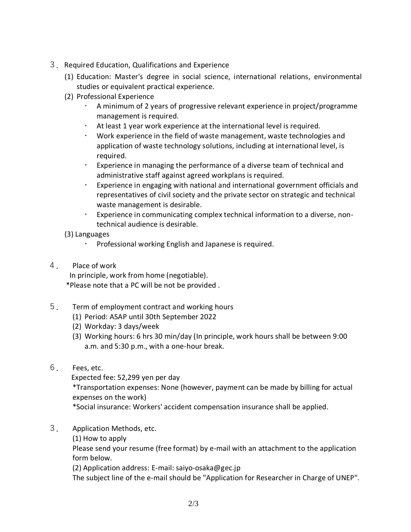- 3.Required Education, Qualifications and Experience
	- (1) Education: Master's degree in social science, international relations, environmental studies or equivalent practical experience.
	- (2) Professional Experience
		- A minimum of 2 years of progressive relevant experience in project/programme management is required.
		- At least 1 year work experience at the international level is required.
		- Work experience in the field of waste management, waste technologies and application of waste technology solutions, including at international level, is required.
		- Experience in managing the performance of a diverse team of technical and administrative staff against agreed workplans is required.
		- Experience in engaging with national and international government officials and representatives of civil society and the private sector on strategic and technical waste management is desirable.
		- Experience in communicating complex technical information to a diverse, nontechnical audience is desirable.
	- (3) Languages
		- Professional working English and Japanese is required.
- 4. Place of work

In principle, work from home (negotiable).

\*Please note that a PC will be not be provided .

- 5. Term of employment contract and working hours
	- (1) Period: ASAP until 30th September 2022
	- (2) Workday: 3 days/week
	- (3) Working hours: 6 hrs 30 min/day (In principle, work hours shall be between 9:00 a.m. and 5:30 p.m., with a one-hour break.
- 6. Fees, etc.

Expected fee: 52,299 yen per day

\*Transportation expenses: None (however, payment can be made by billing for actual expenses on the work)

\*Social insurance: Workers' accident compensation insurance shall be applied.

- 3. Application Methods, etc.
	- (1) How to apply

Please send your resume (free format) by e-mail with an attachment to the application form below.

(2) Application address: E-mail: saiyo-osaka@gec.jp

The subject line of the e-mail should be "Application for Researcher in Charge of UNEP".